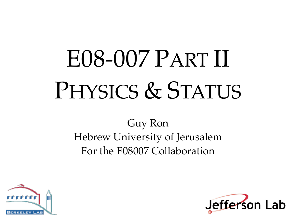# E08-007 PART II PHYSICS & STATUS

Guy Ron Hebrew University of Jerusalem For the E08007 Collaboration



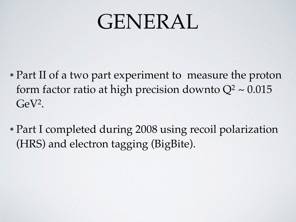# GENERAL

- Part II of a two part experiment to measure the proton form factor ratio at high precision downto  $Q^2 \sim 0.015$  $GeV<sup>2</sup>$ .
- Part I completed during 2008 using recoil polarization (HRS) and electron tagging (BigBite).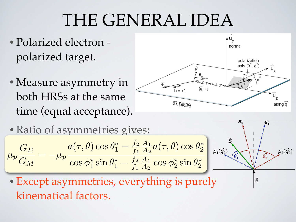#### THE GENERAL IDEA **PART OF APPLITE**

- Polarized electron polarized target.  $P_{\alpha}$ <sup>1</sup> romized creation **(equal acceptance).**
- •Measure asymmetry in both HRSs at the same time (equal acceptance). **• Measure asymmetry if** bournous at the s







*i* external interesting the target spin with respect to the target spin with respect to the target spin with  $\frac{1}{2}$ *q* **in** • Except asymmetries, everything is purely **0.040 1.42** kinematical factors.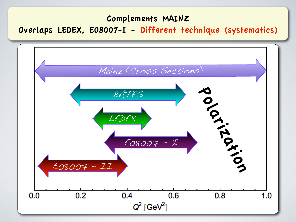# **Complements MAINZ**

# Overlaps LEDEX, E08007-I - Different technique (systematics)

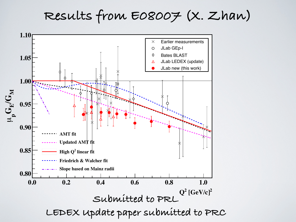**Results from E08007 (X. Zhan)**

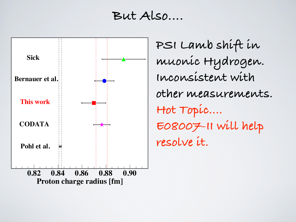#### **But Also....**



**PSI Lamb shift in muonic Hydrogen. Inconsistent with other measurements. Hot Topic.... E08007-II will help resolve it.**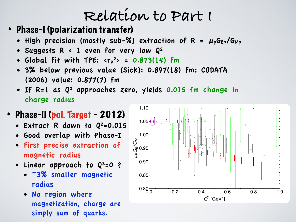# **Relation to Part I**

- Phase-I (polarization transfer)
	- High precision (mostly sub-%) extraction of  $R = \mu_p G_{Ep}/G_{Mp}$
	- Suggests R < 1 even for very low Q2
	- Global fit with TPE:  $\langle r_p^2 \rangle = 0.873(14)$  fm
	- 3% below previous value (Sick): 0.897(18) fm; CODATA (2006) value: 0.877(7) fm
	- If R=1 as Q2 approaches zero, yields 0.015 fm change in charge radius

#### • Phase-II (pol. Target - 2012)

- Extract R down to  $Q^2 = 0.015$
- Good overlap with Phase-I
- First precise extraction of magnetic radius
- Linear approach to  $Q^2=0$  ?
	- ~3% smaller magnetic radius
	- No region where magnetization, charge are simply sum of quarks.

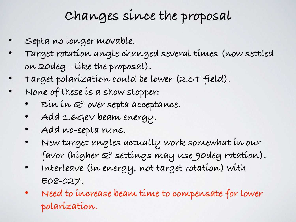### **Changes since the proposal**

- **• Septa no longer movable.**
- **• Target rotation angle changed several times (now settled on 20deg - like the proposal).**
- **• Target polarization could be lower (2.5T field).**
- **• None of these is a show stopper:**
	- **• Bin in Q2 over septa acceptance.**
	- **• Add 1.6GeV beam energy.**
	- **• Add no-septa runs.**
	- **• New target angles actually work somewhat in our favor (higher Q2 settings may use 90deg rotation).**
	- **• Interleave (in energy, not target rotation) with E08-027.**
	- **• Need to increase beam time to compensate for lower polarization.**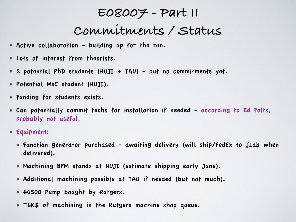#### **E08007 - Part II**

# **Commitments / Status**

- Active collaboration building up for the run.
- Lots of interest from theorists.
- 2 potential PhD students (HUJI + TAU) but no commitments yet.
- Potential MsC student (HUJI).
- Funding for students exists.
- Can potentially commit techs for installation if needed according to Ed Folts, probably not useful.
- Equipment:
	- Function generator purchased awaiting delivery (will ship/FedEx to JLab when delivered).
	- Machining BPM stands at HUJI (estimate shipping early June).
	- Additional machining possible at TAU if needed (but not much).
	- HU500 Pump bought by Rutgers.
	- ~6K\$ of machining in the Rutgers machine shop queue.